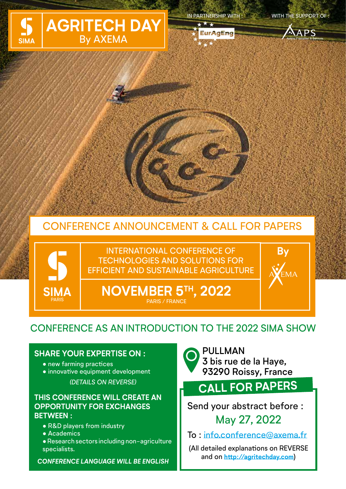

IN PARTNERSHIP WITH : WITH THE SUPPORT OF :

**EurAgEng** 



**By**

# CONFERENCE ANNOUNCEMENT & CALL FOR PAPERS



INTERNATIONAL CONFERENCE OF TECHNOLOGIES AND SOLUTIONS FOR EFFICIENT AND SUSTAINABLE AGRICULTURE

**NOVEMBER 5TH, 2022** PARIS / FRANCE

## CONFERENCE AS AN INTRODUCTION TO THE 2022 SIMA SHOW

### **SHARE YOUR EXPERTISE ON :**

- new farming practices
- innovative equipment development *(DETAILS ON REVERSE)*

### **THIS CONFERENCE WILL CREATE AN OPPORTUNITY FOR EXCHANGES BETWEEN :**

- R&D players from industry
- Academics
- ●Research sectors including non-agriculture specialists.

*CONFERENCE LANGUAGE WILL BE ENGLISH*



# **CALL FOR PAPERS**

Send your abstract before : May 27, 2022

To : info.conference@axema.fr

(All detailed explanations on REVERSE and on **http://agritechday.com**)